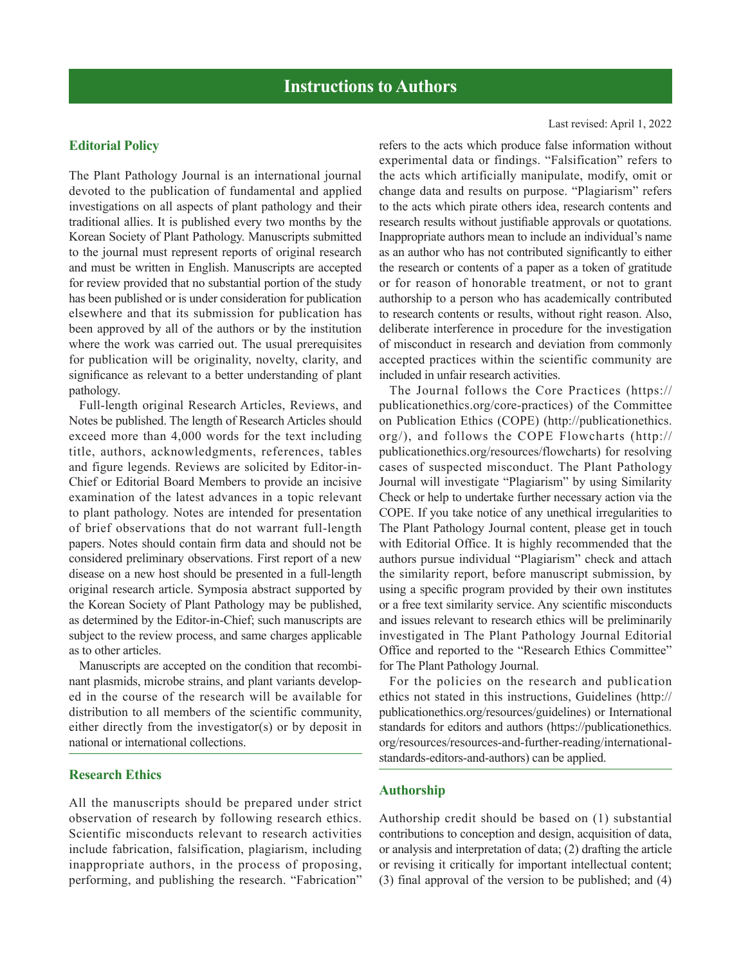# **Editorial Policy**

The Plant Pathology Journal is an international journal devoted to the publication of fundamental and applied investigations on all aspects of plant pathology and their traditional allies. It is published every two months by the Korean Society of Plant Pathology. Manuscripts submitted to the journal must represent reports of original research and must be written in English. Manuscripts are accepted for review provided that no substantial portion of the study has been published or is under consideration for publication elsewhere and that its submission for publication has been approved by all of the authors or by the institution where the work was carried out. The usual prerequisites for publication will be originality, novelty, clarity, and significance as relevant to a better understanding of plant pathology.

Full-length original Research Articles, Reviews, and Notes be published. The length of Research Articles should exceed more than 4,000 words for the text including title, authors, acknowledgments, references, tables and figure legends. Reviews are solicited by Editor-in-Chief or Editorial Board Members to provide an incisive examination of the latest advances in a topic relevant to plant pathology. Notes are intended for presentation of brief observations that do not warrant full-length papers. Notes should contain firm data and should not be considered preliminary observations. First report of a new disease on a new host should be presented in a full-length original research article. Symposia abstract supported by the Korean Society of Plant Pathology may be published, as determined by the Editor-in-Chief; such manuscripts are subject to the review process, and same charges applicable as to other articles.

Manuscripts are accepted on the condition that recombinant plasmids, microbe strains, and plant variants developed in the course of the research will be available for distribution to all members of the scientific community, either directly from the investigator(s) or by deposit in national or international collections.

#### **Research Ethics**

All the manuscripts should be prepared under strict observation of research by following research ethics. Scientific misconducts relevant to research activities include fabrication, falsification, plagiarism, including inappropriate authors, in the process of proposing, performing, and publishing the research. "Fabrication"

refers to the acts which produce false information without experimental data or findings. "Falsification" refers to the acts which artificially manipulate, modify, omit or change data and results on purpose. "Plagiarism" refers to the acts which pirate others idea, research contents and research results without justifiable approvals or quotations. Inappropriate authors mean to include an individual's name as an author who has not contributed significantly to either the research or contents of a paper as a token of gratitude or for reason of honorable treatment, or not to grant authorship to a person who has academically contributed to research contents or results, without right reason. Also, deliberate interference in procedure for the investigation of misconduct in research and deviation from commonly accepted practices within the scientific community are included in unfair research activities.

The Journal follows the Core Practices (https:// publicationethics.org/core-practices) of the Committee on Publication Ethics (COPE) (http://publicationethics. org/), and follows the COPE Flowcharts (http:// publicationethics.org/resources/flowcharts) for resolving cases of suspected misconduct. The Plant Pathology Journal will investigate "Plagiarism" by using Similarity Check or help to undertake further necessary action via the COPE. If you take notice of any unethical irregularities to The Plant Pathology Journal content, please get in touch with Editorial Office. It is highly recommended that the authors pursue individual "Plagiarism" check and attach the similarity report, before manuscript submission, by using a specific program provided by their own institutes or a free text similarity service. Any scientific misconducts and issues relevant to research ethics will be preliminarily investigated in The Plant Pathology Journal Editorial Office and reported to the "Research Ethics Committee" for The Plant Pathology Journal.

For the policies on the research and publication ethics not stated in this instructions, Guidelines (http:// publicationethics.org/resources/guidelines) or International standards for editors and authors (https://publicationethics. org/resources/resources-and-further-reading/internationalstandards-editors-and-authors) can be applied.

#### **Authorship**

Authorship credit should be based on (1) substantial contributions to conception and design, acquisition of data, or analysis and interpretation of data; (2) drafting the article or revising it critically for important intellectual content; (3) final approval of the version to be published; and (4)

#### Last revised: April 1, 2022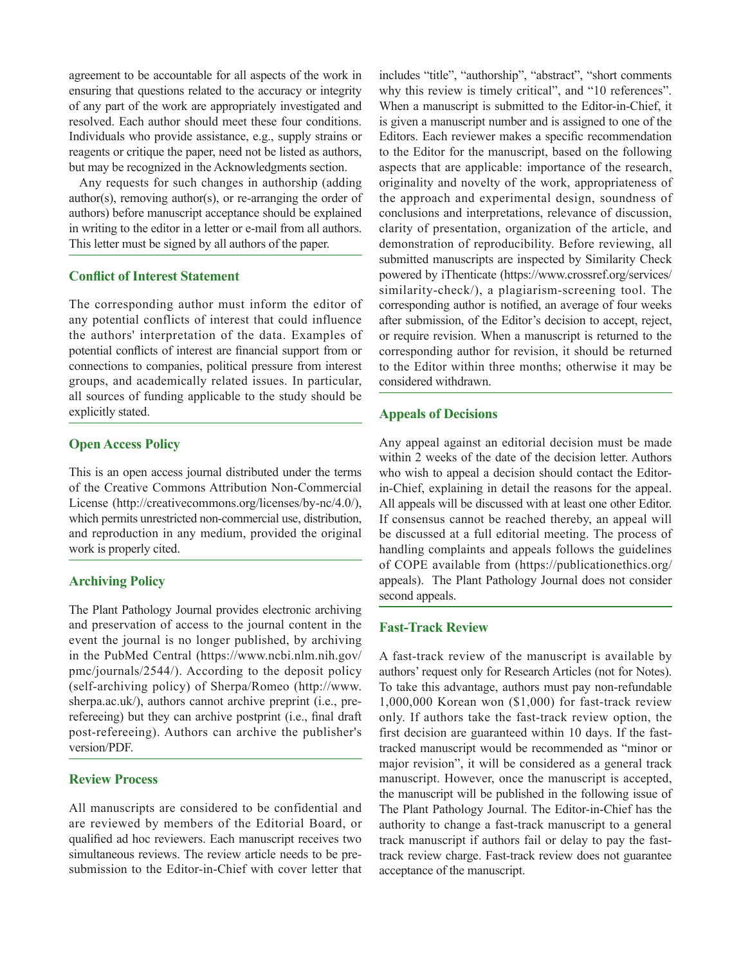agreement to be accountable for all aspects of the work in ensuring that questions related to the accuracy or integrity of any part of the work are appropriately investigated and resolved. Each author should meet these four conditions. Individuals who provide assistance, e.g., supply strains or reagents or critique the paper, need not be listed as authors, but may be recognized in the Acknowledgments section.

Any requests for such changes in authorship (adding author(s), removing author(s), or re-arranging the order of authors) before manuscript acceptance should be explained in writing to the editor in a letter or e-mail from all authors. This letter must be signed by all authors of the paper.

# **Conflict of Interest Statement**

The corresponding author must inform the editor of any potential conflicts of interest that could influence the authors' interpretation of the data. Examples of potential conflicts of interest are financial support from or connections to companies, political pressure from interest groups, and academically related issues. In particular, all sources of funding applicable to the study should be explicitly stated.

# **Open Access Policy**

This is an open access journal distributed under the terms of the Creative Commons Attribution Non-Commercial License (http://creativecommons.org/licenses/by-nc/4.0/), which permits unrestricted non-commercial use, distribution, and reproduction in any medium, provided the original work is properly cited.

### **Archiving Policy**

The Plant Pathology Journal provides electronic archiving and preservation of access to the journal content in the event the journal is no longer published, by archiving in the PubMed Central (https://www.ncbi.nlm.nih.gov/ pmc/journals/2544/). According to the deposit policy (self-archiving policy) of Sherpa/Romeo (http://www. sherpa.ac.uk/), authors cannot archive preprint (i.e., prerefereeing) but they can archive postprint (i.e., final draft post-refereeing). Authors can archive the publisher's version/PDF.

### **Review Process**

All manuscripts are considered to be confidential and are reviewed by members of the Editorial Board, or qualified ad hoc reviewers. Each manuscript receives two simultaneous reviews. The review article needs to be presubmission to the Editor-in-Chief with cover letter that

includes "title", "authorship", "abstract", "short comments why this review is timely critical", and "10 references". When a manuscript is submitted to the Editor-in-Chief, it is given a manuscript number and is assigned to one of the Editors. Each reviewer makes a specific recommendation to the Editor for the manuscript, based on the following aspects that are applicable: importance of the research, originality and novelty of the work, appropriateness of the approach and experimental design, soundness of conclusions and interpretations, relevance of discussion, clarity of presentation, organization of the article, and demonstration of reproducibility. Before reviewing, all submitted manuscripts are inspected by Similarity Check powered by iThenticate (https://www.crossref.org/services/ similarity-check/), a plagiarism-screening tool. The corresponding author is notified, an average of four weeks after submission, of the Editor's decision to accept, reject, or require revision. When a manuscript is returned to the corresponding author for revision, it should be returned to the Editor within three months; otherwise it may be considered withdrawn.

### **Appeals of Decisions**

Any appeal against an editorial decision must be made within 2 weeks of the date of the decision letter. Authors who wish to appeal a decision should contact the Editorin-Chief, explaining in detail the reasons for the appeal. All appeals will be discussed with at least one other Editor. If consensus cannot be reached thereby, an appeal will be discussed at a full editorial meeting. The process of handling complaints and appeals follows the guidelines of COPE available from (https://publicationethics.org/ appeals). The Plant Pathology Journal does not consider second appeals.

#### **Fast-Track Review**

A fast-track review of the manuscript is available by authors' request only for Research Articles (not for Notes). To take this advantage, authors must pay non-refundable 1,000,000 Korean won (\$1,000) for fast-track review only. If authors take the fast-track review option, the first decision are guaranteed within 10 days. If the fasttracked manuscript would be recommended as "minor or major revision", it will be considered as a general track manuscript. However, once the manuscript is accepted, the manuscript will be published in the following issue of The Plant Pathology Journal. The Editor-in-Chief has the authority to change a fast-track manuscript to a general track manuscript if authors fail or delay to pay the fasttrack review charge. Fast-track review does not guarantee acceptance of the manuscript.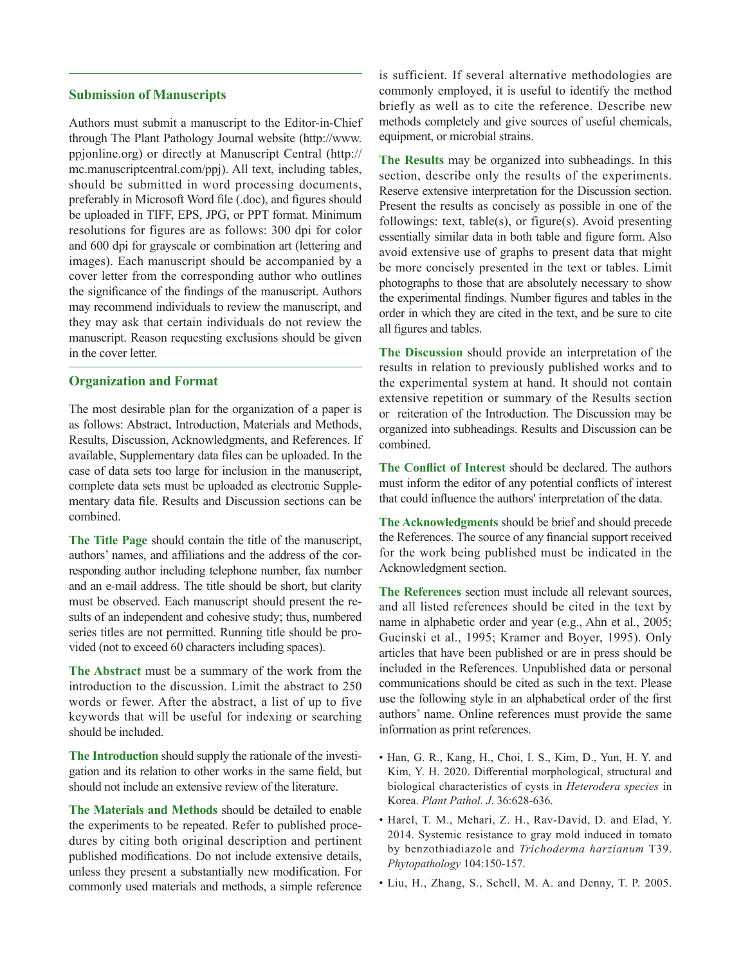# **Submission of Manuscripts**

Authors must submit a manuscript to the Editor-in-Chief through The Plant Pathology Journal website (http://www. ppjonline.org) or directly at Manuscript Central (http:// mc.manuscriptcentral.com/ppj). All text, including tables, should be submitted in word processing documents, preferably in Microsoft Word file (.doc), and figures should be uploaded in TIFF, EPS, JPG, or PPT format. Minimum resolutions for figures are as follows: 300 dpi for color and 600 dpi for grayscale or combination art (lettering and images). Each manuscript should be accompanied by a cover letter from the corresponding author who outlines the significance of the findings of the manuscript. Authors may recommend individuals to review the manuscript, and they may ask that certain individuals do not review the manuscript. Reason requesting exclusions should be given in the cover letter.

#### **Organization and Format**

The most desirable plan for the organization of a paper is as follows: Abstract, Introduction, Materials and Methods, Results, Discussion, Acknowledgments, and References. If available, Supplementary data files can be uploaded. In the case of data sets too large for inclusion in the manuscript, complete data sets must be uploaded as electronic Supplementary data file. Results and Discussion sections can be combined.

**The Title Page** should contain the title of the manuscript, authors' names, and affiliations and the address of the corresponding author including telephone number, fax number and an e-mail address. The title should be short, but clarity must be observed. Each manuscript should present the results of an independent and cohesive study; thus, numbered series titles are not permitted. Running title should be provided (not to exceed 60 characters including spaces).

**The Abstract** must be a summary of the work from the introduction to the discussion. Limit the abstract to 250 words or fewer. After the abstract, a list of up to five keywords that will be useful for indexing or searching should be included.

**The Introduction** should supply the rationale of the investigation and its relation to other works in the same field, but should not include an extensive review of the literature.

**The Materials and Methods** should be detailed to enable the experiments to be repeated. Refer to published procedures by citing both original description and pertinent published modifications. Do not include extensive details, unless they present a substantially new modification. For commonly used materials and methods, a simple reference

is sufficient. If several alternative methodologies are commonly employed, it is useful to identify the method briefly as well as to cite the reference. Describe new methods completely and give sources of useful chemicals, equipment, or microbial strains.

**The Results** may be organized into subheadings. In this section, describe only the results of the experiments. Reserve extensive interpretation for the Discussion section. Present the results as concisely as possible in one of the followings: text, table(s), or figure(s). Avoid presenting essentially similar data in both table and figure form. Also avoid extensive use of graphs to present data that might be more concisely presented in the text or tables. Limit photographs to those that are absolutely necessary to show the experimental findings. Number figures and tables in the order in which they are cited in the text, and be sure to cite all figures and tables.

**The Discussion** should provide an interpretation of the results in relation to previously published works and to the experimental system at hand. It should not contain extensive repetition or summary of the Results section or reiteration of the Introduction. The Discussion may be organized into subheadings. Results and Discussion can be combined.

**The Conflict of Interest** should be declared. The authors must inform the editor of any potential conflicts of interest that could influence the authors' interpretation of the data.

**The Acknowledgments** should be brief and should precede the References. The source of any financial support received for the work being published must be indicated in the Acknowledgment section.

**The References** section must include all relevant sources, and all listed references should be cited in the text by name in alphabetic order and year (e.g., Ahn et al., 2005; Gucinski et al., 1995; Kramer and Boyer, 1995). Only articles that have been published or are in press should be included in the References. Unpublished data or personal communications should be cited as such in the text. Please use the following style in an alphabetical order of the first authors' name. Online references must provide the same information as print references.

- Han, G. R., Kang, H., Choi, I. S., Kim, D., Yun, H. Y. and Kim, Y. H. 2020. Differential morphological, structural and biological characteristics of cysts in *Heterodera species* in Korea. *Plant Pathol. J*. 36:628-636.
- Harel, T. M., Mehari, Z. H., Rav-David, D. and Elad, Y. 2014. Systemic resistance to gray mold induced in tomato by benzothiadiazole and *Trichoderma harzianum* T39. *Phytopathology* 104:150-157.
- Liu, H., Zhang, S., Schell, M. A. and Denny, T. P. 2005.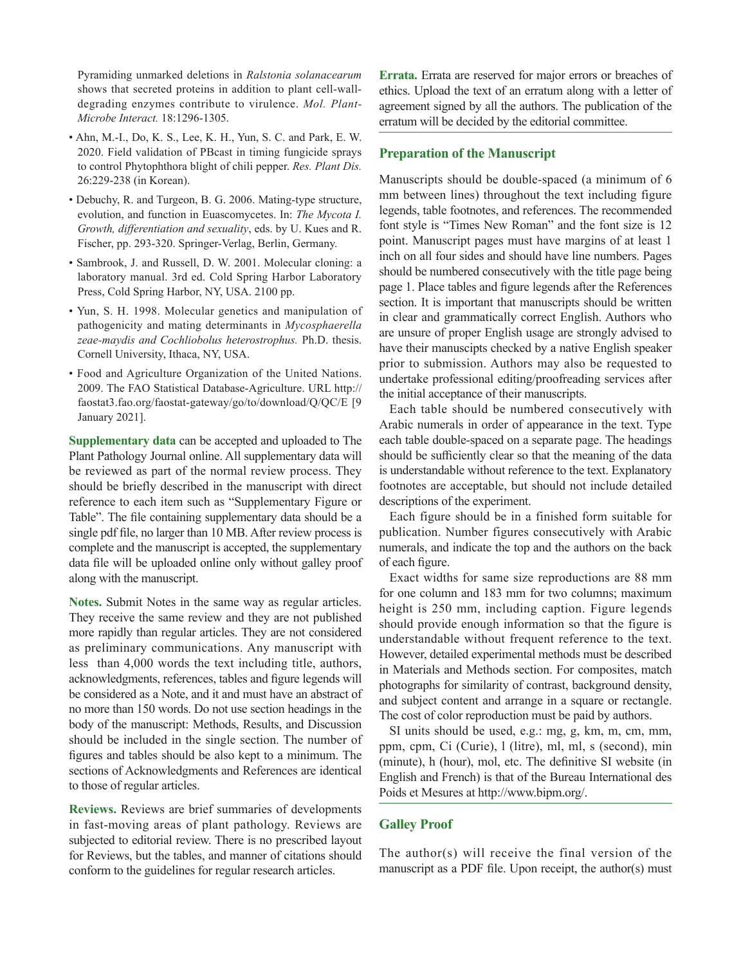Pyramiding unmarked deletions in *Ralstonia solanacearum*  shows that secreted proteins in addition to plant cell-walldegrading enzymes contribute to virulence. *Mol. Plant-Microbe Interact.* 18:1296-1305.

- Ahn, M.-I., Do, K. S., Lee, K. H., Yun, S. C. and Park, E. W. 2020. Field validation of PBcast in timing fungicide sprays to control Phytophthora blight of chili pepper. *Res. Plant Dis.* 26:229-238 (in Korean).
- Debuchy, R. and Turgeon, B. G. 2006. Mating-type structure, evolution, and function in Euascomycetes. In: *The Mycota I. Growth, differentiation and sexuality*, eds. by U. Kues and R. Fischer, pp. 293-320. Springer-Verlag, Berlin, Germany.
- Sambrook, J. and Russell, D. W. 2001. Molecular cloning: a laboratory manual. 3rd ed. Cold Spring Harbor Laboratory Press, Cold Spring Harbor, NY, USA. 2100 pp.
- Yun, S. H. 1998. Molecular genetics and manipulation of pathogenicity and mating determinants in *Mycosphaerella zeae-maydis and Cochliobolus heterostrophus.* Ph.D. thesis. Cornell University, Ithaca, NY, USA.
- Food and Agriculture Organization of the United Nations. 2009. The FAO Statistical Database-Agriculture. URL http:// faostat3.fao.org/faostat-gateway/go/to/download/Q/QC/E [9 January 2021].

**Supplementary data** can be accepted and uploaded to The Plant Pathology Journal online. All supplementary data will be reviewed as part of the normal review process. They should be briefly described in the manuscript with direct reference to each item such as "Supplementary Figure or Table". The file containing supplementary data should be a single pdf file, no larger than 10 MB. After review process is complete and the manuscript is accepted, the supplementary data file will be uploaded online only without galley proof along with the manuscript.

**Notes.** Submit Notes in the same way as regular articles. They receive the same review and they are not published more rapidly than regular articles. They are not considered as preliminary communications. Any manuscript with less than 4,000 words the text including title, authors, acknowledgments, references, tables and figure legends will be considered as a Note, and it and must have an abstract of no more than 150 words. Do not use section headings in the body of the manuscript: Methods, Results, and Discussion should be included in the single section. The number of figures and tables should be also kept to a minimum. The sections of Acknowledgments and References are identical to those of regular articles.

**Reviews.** Reviews are brief summaries of developments in fast-moving areas of plant pathology. Reviews are subjected to editorial review. There is no prescribed layout for Reviews, but the tables, and manner of citations should conform to the guidelines for regular research articles.

**Errata.** Errata are reserved for major errors or breaches of ethics. Upload the text of an erratum along with a letter of agreement signed by all the authors. The publication of the erratum will be decided by the editorial committee.

# **Preparation of the Manuscript**

Manuscripts should be double-spaced (a minimum of 6 mm between lines) throughout the text including figure legends, table footnotes, and references. The recommended font style is "Times New Roman" and the font size is 12 point. Manuscript pages must have margins of at least 1 inch on all four sides and should have line numbers. Pages should be numbered consecutively with the title page being page 1. Place tables and figure legends after the References section. It is important that manuscripts should be written in clear and grammatically correct English. Authors who are unsure of proper English usage are strongly advised to have their manuscipts checked by a native English speaker prior to submission. Authors may also be requested to undertake professional editing/proofreading services after the initial acceptance of their manuscripts.

Each table should be numbered consecutively with Arabic numerals in order of appearance in the text. Type each table double-spaced on a separate page. The headings should be sufficiently clear so that the meaning of the data is understandable without reference to the text. Explanatory footnotes are acceptable, but should not include detailed descriptions of the experiment.

Each figure should be in a finished form suitable for publication. Number figures consecutively with Arabic numerals, and indicate the top and the authors on the back of each figure.

Exact widths for same size reproductions are 88 mm for one column and 183 mm for two columns; maximum height is 250 mm, including caption. Figure legends should provide enough information so that the figure is understandable without frequent reference to the text. However, detailed experimental methods must be described in Materials and Methods section. For composites, match photographs for similarity of contrast, background density, and subject content and arrange in a square or rectangle. The cost of color reproduction must be paid by authors.

SI units should be used, e.g.: mg, g, km, m, cm, mm, ppm, cpm, Ci (Curie), l (litre), ml, ml, s (second), min (minute), h (hour), mol, etc. The definitive SI website (in English and French) is that of the Bureau International des Poids et Mesures at http://www.bipm.org/.

# **Galley Proof**

The author(s) will receive the final version of the manuscript as a PDF file. Upon receipt, the author(s) must